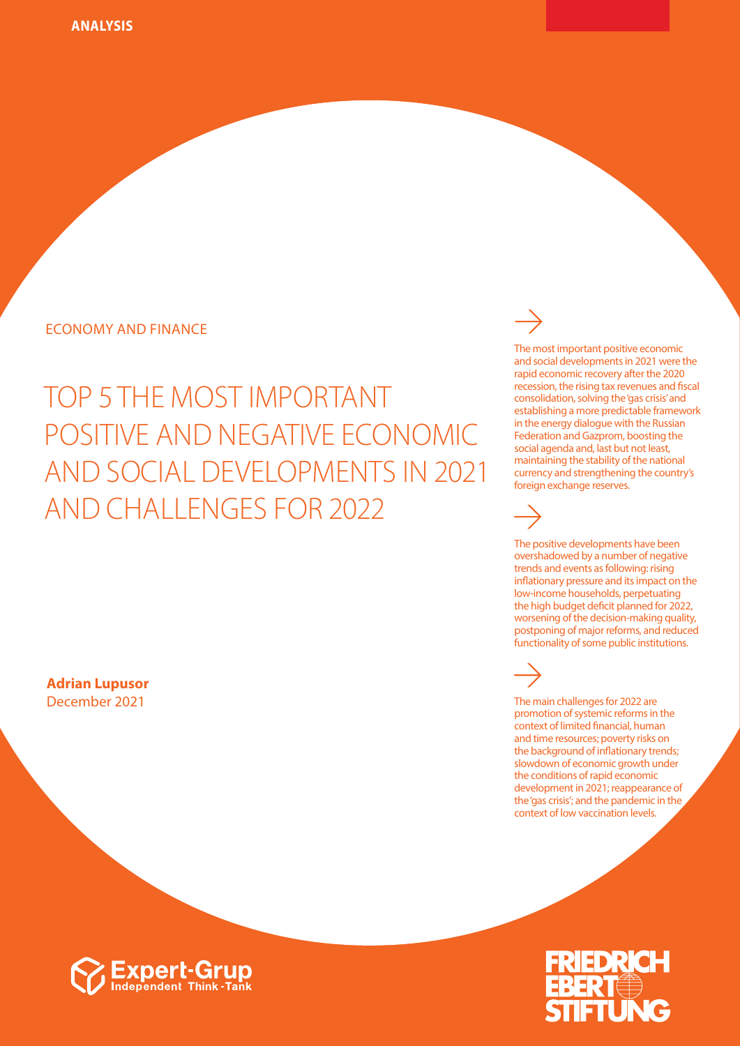### ECONOMY AND FINANCE

# TOP 5 THE MOST IMPORTANT POSITIVE AND NEGATIVE ECONOMIC AND SOCIAL DEVELOPMENTS IN 2021 AND CHALLENGES FOR 2022

**Adrian Lupusor** December 2021

#### The most important positive economic and social developments in 2021 were the rapid economic recovery after the 2020 recession, the rising tax revenues and fiscal consolidation, solving the 'gas crisis' and establishing a more predictable framework in the energy dialogue with the Russian

Federation and Gazprom, boosting the social agenda and, last but not least, maintaining the stability of the national currency and strengthening the country's foreign exchange reserves.

The positive developments have been overshadowed by a number of negative trends and events as following: rising inflationary pressure and its impact on the low-income households, perpetuating the high budget deficit planned for 2022, worsening of the decision-making quality, postponing of major reforms, and reduced functionality of some public institutions.

The main challenges for 2022 are promotion of systemic reforms in the context of limited financial, human and time resources; poverty risks on the background of inflationary trends; slowdown of economic growth under the conditions of rapid economic development in 2021; reappearance of the 'gas crisis'; and the pandemic in the context of low vaccination levels.



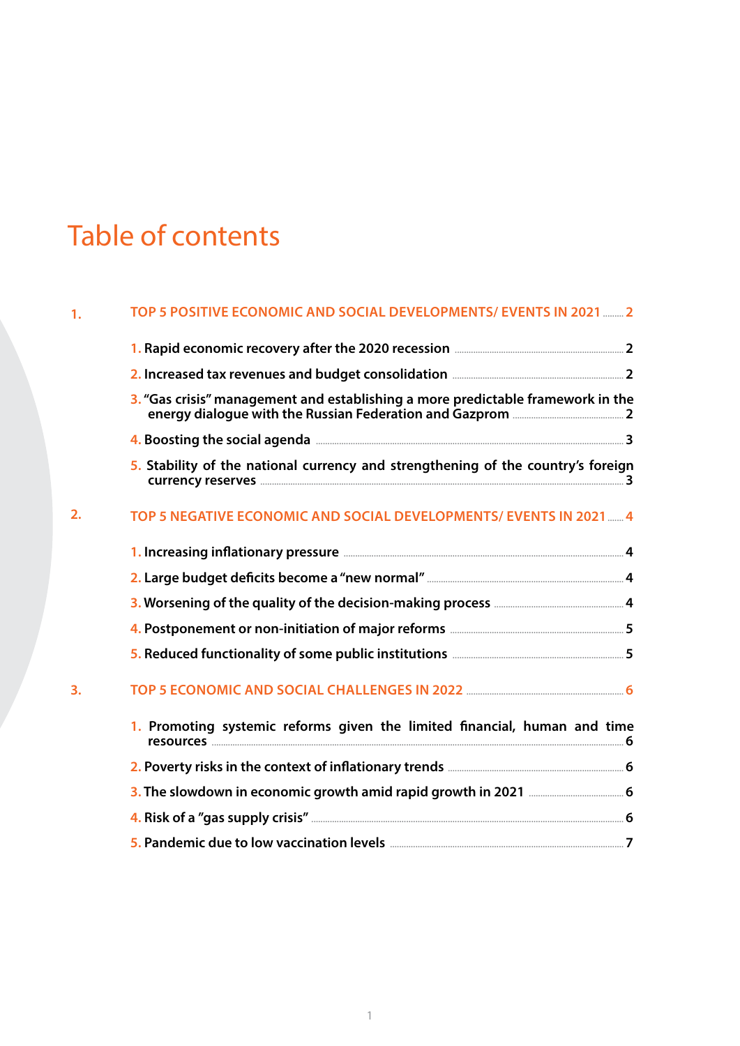## Table of contents

#### **1. TOP 5 POSITIVE ECONOMIC AND SOCIAL DEVELOPMENTS/ EVENTS IN 2021**[.........](#page-3-0) **2**

| 3. "Gas crisis" management and establishing a more predictable framework in the  |
|----------------------------------------------------------------------------------|
|                                                                                  |
| 5. Stability of the national currency and strengthening of the country's foreign |

**currency reserves** [.............................................................................................................................................................](#page-4-0) **3**

#### **2. TOP 5 NEGATIVE ECONOMIC AND SOCIAL DEVELOPMENTS/ EVENTS IN 2021**[.......](#page-5-0) **4**

|    | 1. Increasing inflationary pressure <b>Election 2018</b> 4 |  |
|----|------------------------------------------------------------|--|
|    |                                                            |  |
|    |                                                            |  |
|    |                                                            |  |
|    |                                                            |  |
| 3. |                                                            |  |

| 1. Promoting systemic reforms given the limited financial, human and time |  |
|---------------------------------------------------------------------------|--|
|                                                                           |  |
|                                                                           |  |
|                                                                           |  |
|                                                                           |  |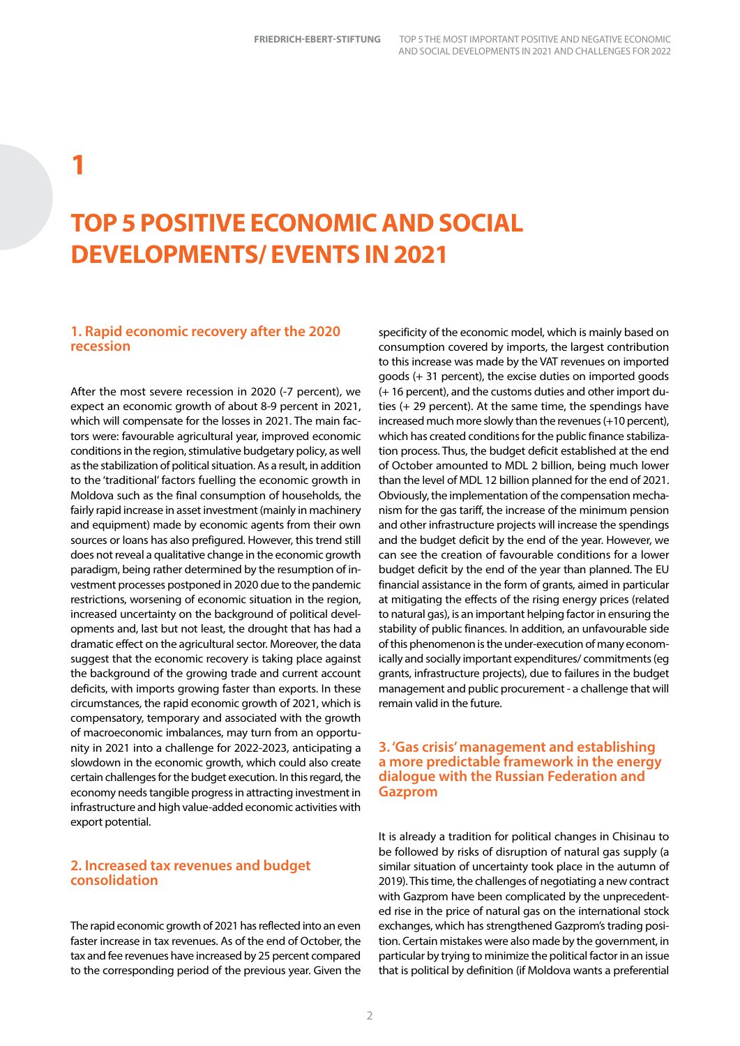## <span id="page-3-0"></span>**1**

### **TOP 5 POSITIVE ECONOMIC AND SOCIAL DEVELOPMENTS/ EVENTS IN 2021**

#### **1. Rapid economic recovery after the 2020 recession**

After the most severe recession in 2020 (-7 percent), we expect an economic growth of about 8-9 percent in 2021, which will compensate for the losses in 2021. The main factors were: favourable agricultural year, improved economic conditions in the region, stimulative budgetary policy, as well as the stabilization of political situation. As a result, in addition to the 'traditional' factors fuelling the economic growth in Moldova such as the final consumption of households, the fairly rapid increase in asset investment (mainly in machinery and equipment) made by economic agents from their own sources or loans has also prefigured. However, this trend still does not reveal a qualitative change in the economic growth paradigm, being rather determined by the resumption of investment processes postponed in 2020 due to the pandemic restrictions, worsening of economic situation in the region, increased uncertainty on the background of political developments and, last but not least, the drought that has had a dramatic effect on the agricultural sector. Moreover, the data suggest that the economic recovery is taking place against the background of the growing trade and current account deficits, with imports growing faster than exports. In these circumstances, the rapid economic growth of 2021, which is compensatory, temporary and associated with the growth of macroeconomic imbalances, may turn from an opportunity in 2021 into a challenge for 2022-2023, anticipating a slowdown in the economic growth, which could also create certain challenges for the budget execution. In this regard, the economy needs tangible progress in attracting investment in infrastructure and high value-added economic activities with export potential.

#### **2. Increased tax revenues and budget consolidation**

The rapid economic growth of 2021 has reflected into an even faster increase in tax revenues. As of the end of October, the tax and fee revenues have increased by 25 percent compared to the corresponding period of the previous year. Given the

specificity of the economic model, which is mainly based on consumption covered by imports, the largest contribution to this increase was made by the VAT revenues on imported goods (+ 31 percent), the excise duties on imported goods (+ 16 percent), and the customs duties and other import duties (+ 29 percent). At the same time, the spendings have increased much more slowly than the revenues (+10 percent), which has created conditions for the public finance stabilization process. Thus, the budget deficit established at the end of October amounted to MDL 2 billion, being much lower than the level of MDL 12 billion planned for the end of 2021. Obviously, the implementation of the compensation mechanism for the gas tariff, the increase of the minimum pension and other infrastructure projects will increase the spendings and the budget deficit by the end of the year. However, we can see the creation of favourable conditions for a lower budget deficit by the end of the year than planned. The EU financial assistance in the form of grants, aimed in particular at mitigating the effects of the rising energy prices (related to natural gas), is an important helping factor in ensuring the stability of public finances. In addition, an unfavourable side of this phenomenon is the under-execution of many economically and socially important expenditures/ commitments (eg grants, infrastructure projects), due to failures in the budget management and public procurement - a challenge that will remain valid in the future.

#### **3. 'Gas crisis' management and establishing a more predictable framework in the energy dialogue with the Russian Federation and Gazprom**

It is already a tradition for political changes in Chisinau to be followed by risks of disruption of natural gas supply (a similar situation of uncertainty took place in the autumn of 2019). This time, the challenges of negotiating a new contract with Gazprom have been complicated by the unprecedented rise in the price of natural gas on the international stock exchanges, which has strengthened Gazprom's trading position. Certain mistakes were also made by the government, in particular by trying to minimize the political factor in an issue that is political by definition (if Moldova wants a preferential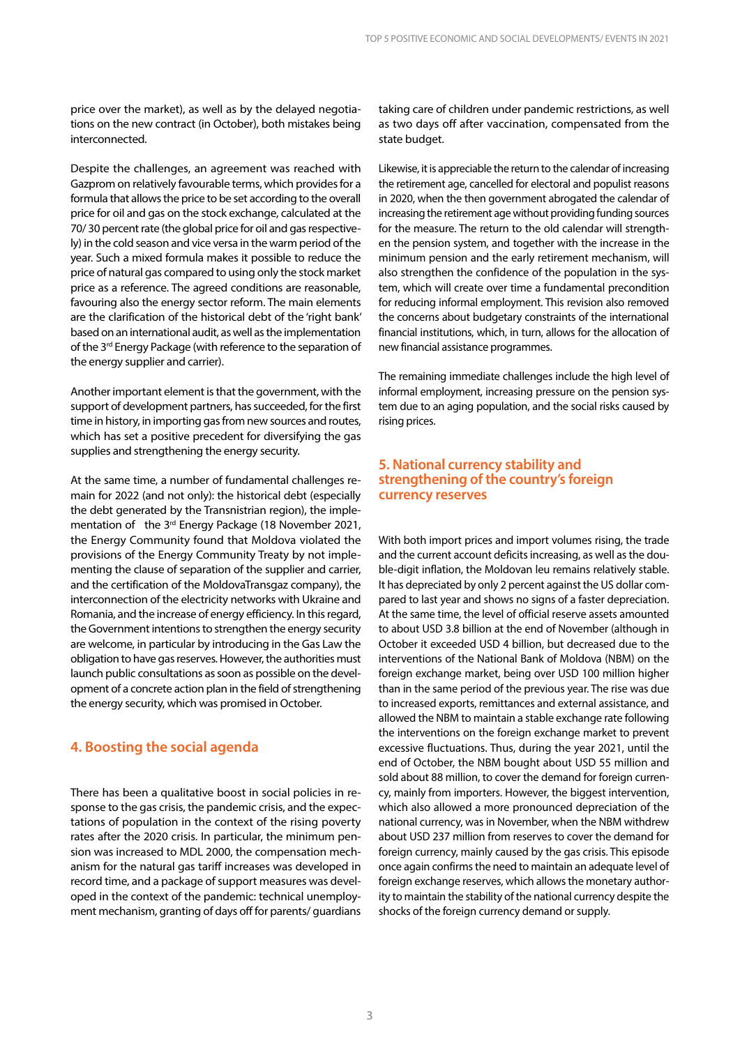<span id="page-4-0"></span>price over the market), as well as by the delayed negotiations on the new contract (in October), both mistakes being interconnected.

Despite the challenges, an agreement was reached with Gazprom on relatively favourable terms, which provides for a formula that allows the price to be set according to the overall price for oil and gas on the stock exchange, calculated at the 70/ 30 percent rate (the global price for oil and gas respectively) in the cold season and vice versa in the warm period of the year. Such a mixed formula makes it possible to reduce the price of natural gas compared to using only the stock market price as a reference. The agreed conditions are reasonable, favouring also the energy sector reform. The main elements are the clarification of the historical debt of the 'right bank' based on an international audit, as well as the implementation of the 3<sup>rd</sup> Energy Package (with reference to the separation of the energy supplier and carrier).

Another important element is that the government, with the support of development partners, has succeeded, for the first time in history, in importing gas from new sources and routes, which has set a positive precedent for diversifying the gas supplies and strengthening the energy security.

At the same time, a number of fundamental challenges remain for 2022 (and not only): the historical debt (especially the debt generated by the Transnistrian region), the implementation of the 3<sup>rd</sup> Energy Package (18 November 2021, the Energy Community found that Moldova violated the provisions of the Energy Community Treaty by not implementing the clause of separation of the supplier and carrier, and the certification of the MoldovaTransgaz company), the interconnection of the electricity networks with Ukraine and Romania, and the increase of energy efficiency. In this regard, the Government intentions to strengthen the energy security are welcome, in particular by introducing in the Gas Law the obligation to have gas reserves. However, the authorities must launch public consultations as soon as possible on the development of a concrete action plan in the field of strengthening the energy security, which was promised in October.

#### **4. Boosting the social agenda**

There has been a qualitative boost in social policies in response to the gas crisis, the pandemic crisis, and the expectations of population in the context of the rising poverty rates after the 2020 crisis. In particular, the minimum pension was increased to MDL 2000, the compensation mechanism for the natural gas tariff increases was developed in record time, and a package of support measures was developed in the context of the pandemic: technical unemployment mechanism, granting of days off for parents/ guardians taking care of children under pandemic restrictions, as well as two days off after vaccination, compensated from the state budget.

Likewise, it is appreciable the return to the calendar of increasing the retirement age, cancelled for electoral and populist reasons in 2020, when the then government abrogated the calendar of increasing the retirement age without providing funding sources for the measure. The return to the old calendar will strengthen the pension system, and together with the increase in the minimum pension and the early retirement mechanism, will also strengthen the confidence of the population in the system, which will create over time a fundamental precondition for reducing informal employment. This revision also removed the concerns about budgetary constraints of the international financial institutions, which, in turn, allows for the allocation of new financial assistance programmes.

The remaining immediate challenges include the high level of informal employment, increasing pressure on the pension system due to an aging population, and the social risks caused by rising prices.

#### **5. National currency stability and strengthening of the country's foreign currency reserves**

With both import prices and import volumes rising, the trade and the current account deficits increasing, as well as the double-digit inflation, the Moldovan leu remains relatively stable. It has depreciated by only 2 percent against the US dollar compared to last year and shows no signs of a faster depreciation. At the same time, the level of official reserve assets amounted to about USD 3.8 billion at the end of November (although in October it exceeded USD 4 billion, but decreased due to the interventions of the National Bank of Moldova (NBM) on the foreign exchange market, being over USD 100 million higher than in the same period of the previous year. The rise was due to increased exports, remittances and external assistance, and allowed the NBM to maintain a stable exchange rate following the interventions on the foreign exchange market to prevent excessive fluctuations. Thus, during the year 2021, until the end of October, the NBM bought about USD 55 million and sold about 88 million, to cover the demand for foreign currency, mainly from importers. However, the biggest intervention, which also allowed a more pronounced depreciation of the national currency, was in November, when the NBM withdrew about USD 237 million from reserves to cover the demand for foreign currency, mainly caused by the gas crisis. This episode once again confirms the need to maintain an adequate level of foreign exchange reserves, which allows the monetary authority to maintain the stability of the national currency despite the shocks of the foreign currency demand or supply.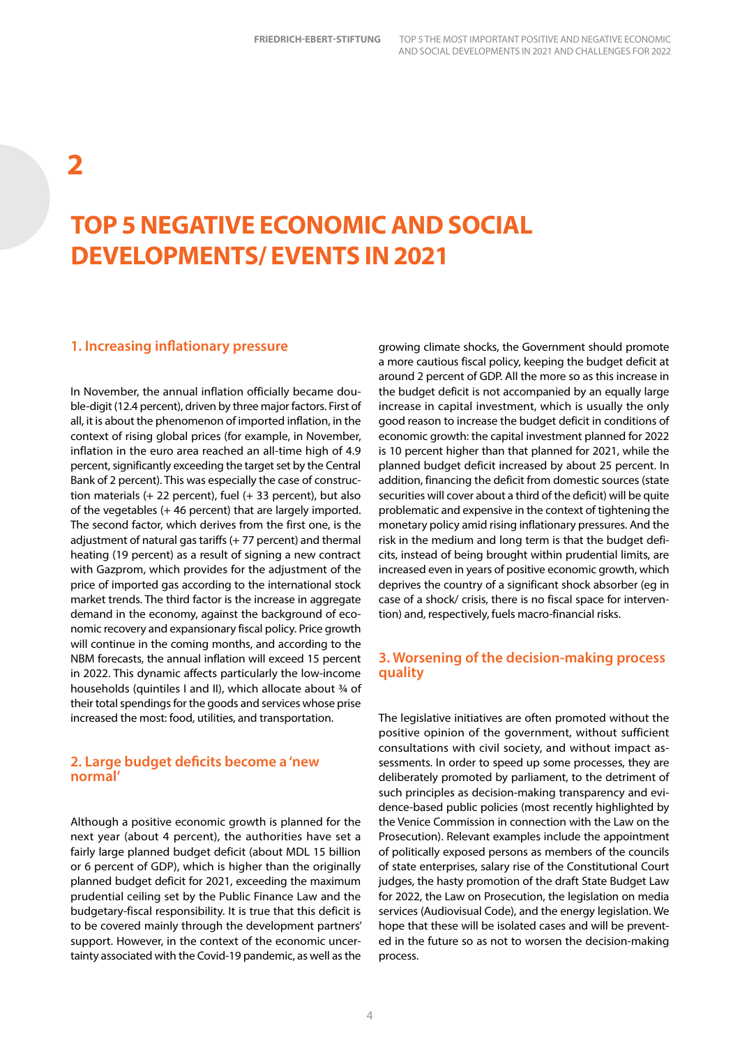### <span id="page-5-0"></span>**2**

### **TOP 5 NEGATIVE ECONOMIC AND SOCIAL DEVELOPMENTS/ EVENTS IN 2021**

#### **1. Increasing inflationary pressure**

In November, the annual inflation officially became double-digit (12.4 percent), driven by three major factors. First of all, it is about the phenomenon of imported inflation, in the context of rising global prices (for example, in November, inflation in the euro area reached an all-time high of 4.9 percent, significantly exceeding the target set by the Central Bank of 2 percent). This was especially the case of construction materials (+ 22 percent), fuel (+ 33 percent), but also of the vegetables (+ 46 percent) that are largely imported. The second factor, which derives from the first one, is the adjustment of natural gas tariffs (+ 77 percent) and thermal heating (19 percent) as a result of signing a new contract with Gazprom, which provides for the adjustment of the price of imported gas according to the international stock market trends. The third factor is the increase in aggregate demand in the economy, against the background of economic recovery and expansionary fiscal policy. Price growth will continue in the coming months, and according to the NBM forecasts, the annual inflation will exceed 15 percent in 2022. This dynamic affects particularly the low-income households (quintiles I and II), which allocate about ¾ of their total spendings for the goods and services whose prise increased the most: food, utilities, and transportation.

#### **2. Large budget deficits become a 'new normal'**

Although a positive economic growth is planned for the next year (about 4 percent), the authorities have set a fairly large planned budget deficit (about MDL 15 billion or 6 percent of GDP), which is higher than the originally planned budget deficit for 2021, exceeding the maximum prudential ceiling set by the Public Finance Law and the budgetary-fiscal responsibility. It is true that this deficit is to be covered mainly through the development partners' support. However, in the context of the economic uncertainty associated with the Covid-19 pandemic, as well as the

growing climate shocks, the Government should promote a more cautious fiscal policy, keeping the budget deficit at around 2 percent of GDP. All the more so as this increase in the budget deficit is not accompanied by an equally large increase in capital investment, which is usually the only good reason to increase the budget deficit in conditions of economic growth: the capital investment planned for 2022 is 10 percent higher than that planned for 2021, while the planned budget deficit increased by about 25 percent. In addition, financing the deficit from domestic sources (state securities will cover about a third of the deficit) will be quite problematic and expensive in the context of tightening the monetary policy amid rising inflationary pressures. And the risk in the medium and long term is that the budget deficits, instead of being brought within prudential limits, are increased even in years of positive economic growth, which deprives the country of a significant shock absorber (eg in case of a shock/ crisis, there is no fiscal space for intervention) and, respectively, fuels macro-financial risks.

#### **3. Worsening of the decision-making process quality**

The legislative initiatives are often promoted without the positive opinion of the government, without sufficient consultations with civil society, and without impact assessments. In order to speed up some processes, they are deliberately promoted by parliament, to the detriment of such principles as decision-making transparency and evidence-based public policies (most recently highlighted by the Venice Commission in connection with the Law on the Prosecution). Relevant examples include the appointment of politically exposed persons as members of the councils of state enterprises, salary rise of the Constitutional Court judges, the hasty promotion of the draft State Budget Law for 2022, the Law on Prosecution, the legislation on media services (Audiovisual Code), and the energy legislation. We hope that these will be isolated cases and will be prevented in the future so as not to worsen the decision-making process.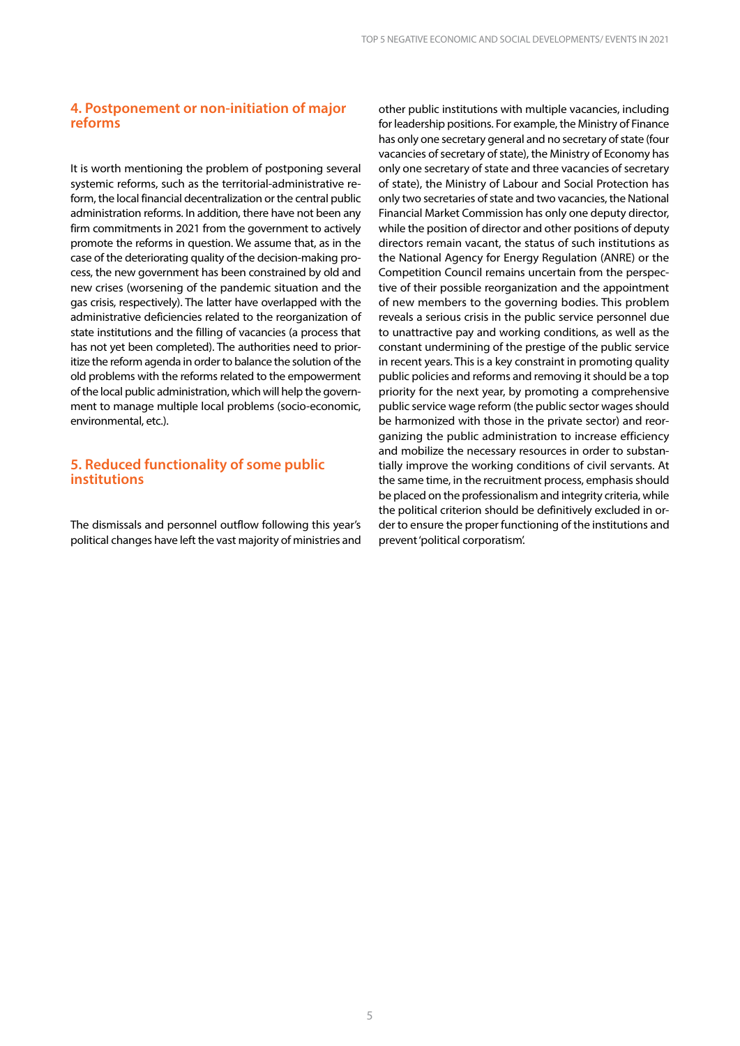#### <span id="page-6-0"></span>**4. Postponement or non-initiation of major reforms**

It is worth mentioning the problem of postponing several systemic reforms, such as the territorial-administrative reform, the local financial decentralization or the central public administration reforms. In addition, there have not been any firm commitments in 2021 from the government to actively promote the reforms in question. We assume that, as in the case of the deteriorating quality of the decision-making process, the new government has been constrained by old and new crises (worsening of the pandemic situation and the gas crisis, respectively). The latter have overlapped with the administrative deficiencies related to the reorganization of state institutions and the filling of vacancies (a process that has not yet been completed). The authorities need to prioritize the reform agenda in order to balance the solution of the old problems with the reforms related to the empowerment of the local public administration, which will help the government to manage multiple local problems (socio-economic, environmental, etc.).

#### **5. Reduced functionality of some public institutions**

The dismissals and personnel outflow following this year's political changes have left the vast majority of ministries and

other public institutions with multiple vacancies, including for leadership positions. For example, the Ministry of Finance has only one secretary general and no secretary of state (four vacancies of secretary of state), the Ministry of Economy has only one secretary of state and three vacancies of secretary of state), the Ministry of Labour and Social Protection has only two secretaries of state and two vacancies, the National Financial Market Commission has only one deputy director, while the position of director and other positions of deputy directors remain vacant, the status of such institutions as the National Agency for Energy Regulation (ANRE) or the Competition Council remains uncertain from the perspective of their possible reorganization and the appointment of new members to the governing bodies. This problem reveals a serious crisis in the public service personnel due to unattractive pay and working conditions, as well as the constant undermining of the prestige of the public service in recent years. This is a key constraint in promoting quality public policies and reforms and removing it should be a top priority for the next year, by promoting a comprehensive public service wage reform (the public sector wages should be harmonized with those in the private sector) and reorganizing the public administration to increase efficiency and mobilize the necessary resources in order to substantially improve the working conditions of civil servants. At the same time, in the recruitment process, emphasis should be placed on the professionalism and integrity criteria, while the political criterion should be definitively excluded in order to ensure the proper functioning of the institutions and prevent 'political corporatism'.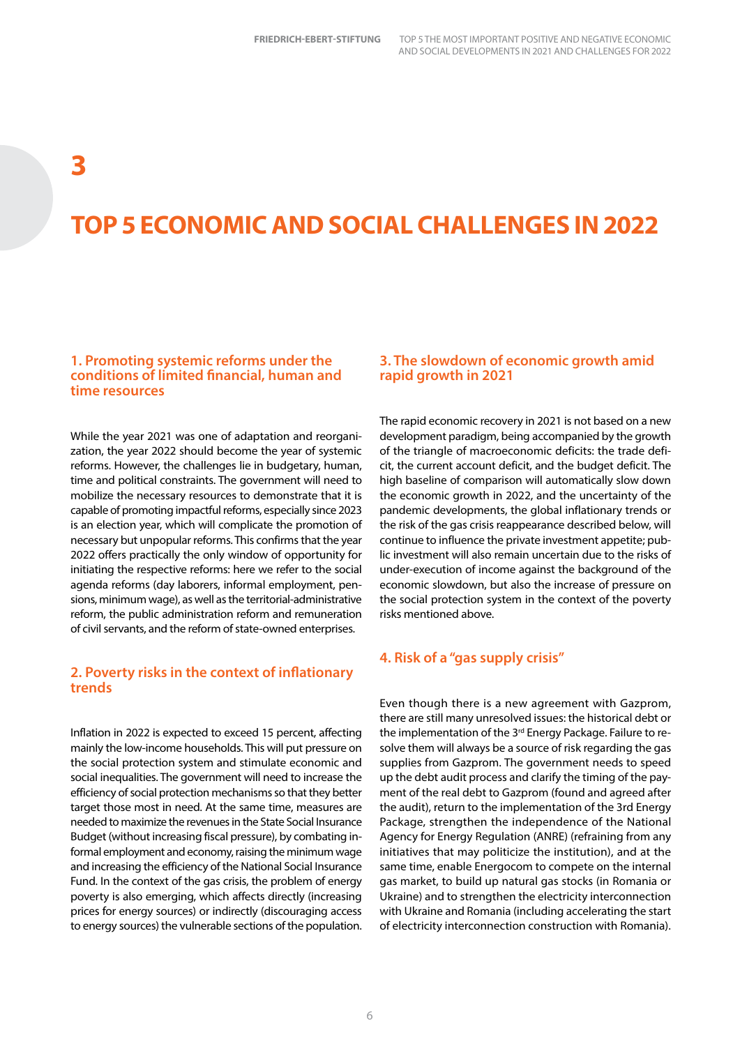### <span id="page-7-0"></span>**3**

### **TOP 5 ECONOMIC AND SOCIAL CHALLENGES IN 2022**

#### **1. Promoting systemic reforms under the conditions of limited financial, human and time resources**

While the year 2021 was one of adaptation and reorganization, the year 2022 should become the year of systemic reforms. However, the challenges lie in budgetary, human, time and political constraints. The government will need to mobilize the necessary resources to demonstrate that it is capable of promoting impactful reforms, especially since 2023 is an election year, which will complicate the promotion of necessary but unpopular reforms. This confirms that the year 2022 offers practically the only window of opportunity for initiating the respective reforms: here we refer to the social agenda reforms (day laborers, informal employment, pensions, minimum wage), as well as the territorial-administrative reform, the public administration reform and remuneration of civil servants, and the reform of state-owned enterprises.

#### **2. Poverty risks in the context of inflationary trends**

Inflation in 2022 is expected to exceed 15 percent, affecting mainly the low-income households. This will put pressure on the social protection system and stimulate economic and social inequalities. The government will need to increase the efficiency of social protection mechanisms so that they better target those most in need. At the same time, measures are needed to maximize the revenues in the State Social Insurance Budget (without increasing fiscal pressure), by combating informal employment and economy, raising the minimum wage and increasing the efficiency of the National Social Insurance Fund. In the context of the gas crisis, the problem of energy poverty is also emerging, which affects directly (increasing prices for energy sources) or indirectly (discouraging access to energy sources) the vulnerable sections of the population.

#### **3. The slowdown of economic growth amid rapid growth in 2021**

The rapid economic recovery in 2021 is not based on a new development paradigm, being accompanied by the growth of the triangle of macroeconomic deficits: the trade deficit, the current account deficit, and the budget deficit. The high baseline of comparison will automatically slow down the economic growth in 2022, and the uncertainty of the pandemic developments, the global inflationary trends or the risk of the gas crisis reappearance described below, will continue to influence the private investment appetite; public investment will also remain uncertain due to the risks of under-execution of income against the background of the economic slowdown, but also the increase of pressure on the social protection system in the context of the poverty risks mentioned above.

#### **4. Risk of a "gas supply crisis"**

Even though there is a new agreement with Gazprom, there are still many unresolved issues: the historical debt or the implementation of the 3<sup>rd</sup> Energy Package. Failure to resolve them will always be a source of risk regarding the gas supplies from Gazprom. The government needs to speed up the debt audit process and clarify the timing of the payment of the real debt to Gazprom (found and agreed after the audit), return to the implementation of the 3rd Energy Package, strengthen the independence of the National Agency for Energy Regulation (ANRE) (refraining from any initiatives that may politicize the institution), and at the same time, enable Energocom to compete on the internal gas market, to build up natural gas stocks (in Romania or Ukraine) and to strengthen the electricity interconnection with Ukraine and Romania (including accelerating the start of electricity interconnection construction with Romania).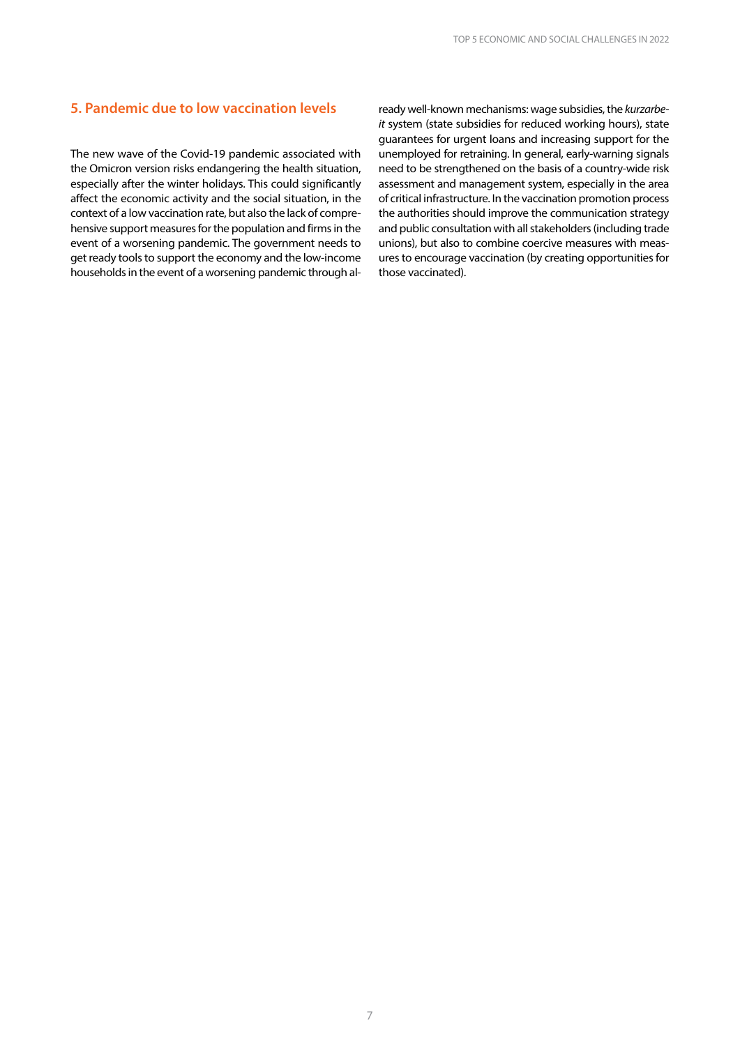#### <span id="page-8-0"></span>**5. Pandemic due to low vaccination levels**

The new wave of the Covid-19 pandemic associated with the Omicron version risks endangering the health situation, especially after the winter holidays. This could significantly affect the economic activity and the social situation, in the context of a low vaccination rate, but also the lack of comprehensive support measures for the population and firms in the event of a worsening pandemic. The government needs to get ready tools to support the economy and the low-income households in the event of a worsening pandemic through al-

ready well-known mechanisms: wage subsidies, the *kurzarbeit* system (state subsidies for reduced working hours), state guarantees for urgent loans and increasing support for the unemployed for retraining. In general, early-warning signals need to be strengthened on the basis of a country-wide risk assessment and management system, especially in the area of critical infrastructure. In the vaccination promotion process the authorities should improve the communication strategy and public consultation with all stakeholders (including trade unions), but also to combine coercive measures with measures to encourage vaccination (by creating opportunities for those vaccinated).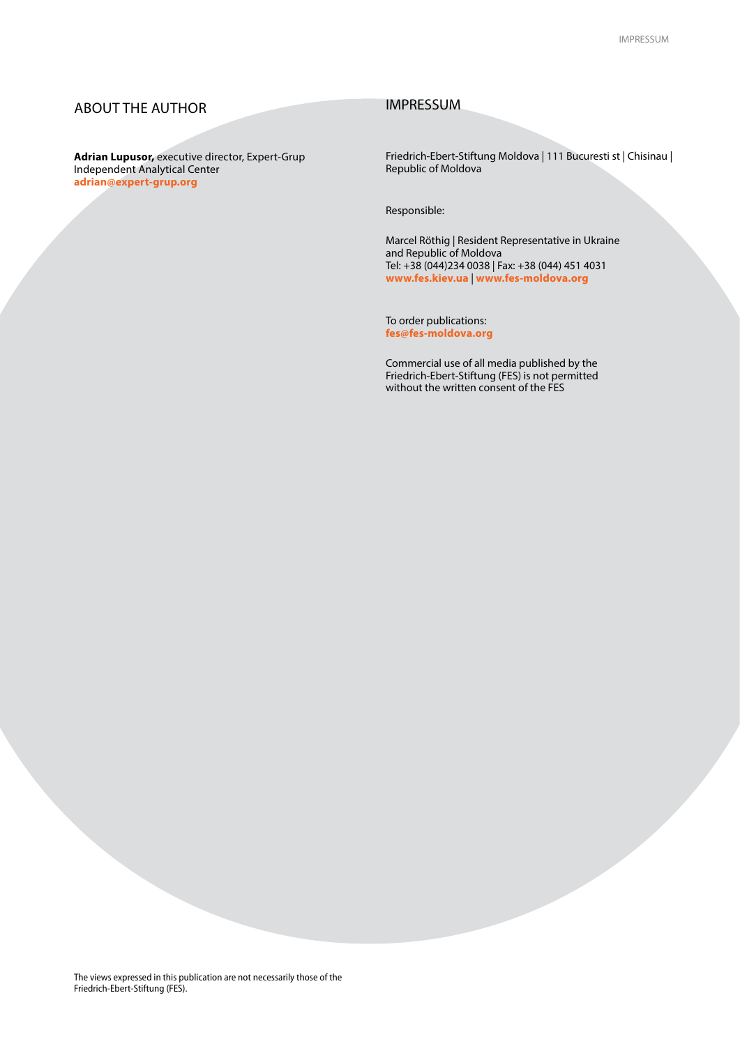#### ABOUT THE AUTHOR

**Adrian Lupusor,** executive director, Expert-Grup Independent Analytical Center **adrian[@expert-grup.org](expert-grup.org)**

#### IMPRESSUM

Friedrich-Ebert-Stiftung Moldova | 111 Bucuresti st | Chisinau | Republic of Moldova

Responsible:

Marcel Röthig | Resident Representative in Ukraine and Republic of Moldova Tel: +38 (044)234 0038 | Fax: +38 (044) 451 4031 **www.fes.kiev.ua** | **www.fes-moldova.org**

To order publications: **fes@fes-moldova.org**

Commercial use of all media published by the Friedrich-Ebert-Stiftung (FES) is not permitted without the written consent of the FES